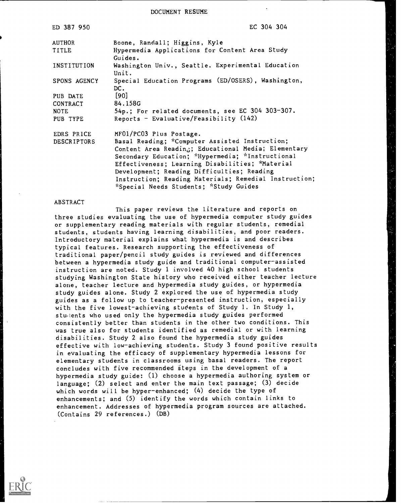DOCUMENT RESUME

| EC 304 304                                                                                      |
|-------------------------------------------------------------------------------------------------|
| Boone, Randall; Higgins, Kyle<br>Hypermedia Applications for Content Area Study                 |
| Guides.                                                                                         |
| Washington Univ., Seattle. Experimental Education<br>Unit.                                      |
| Special Education Programs (ED/OSERS), Washington,<br>DC.                                       |
| $[90]$                                                                                          |
| 84.158G                                                                                         |
| 54p.; For related documents, see EC 304 303-307.<br>Reports - Evaluative/Feasibility $(142)$    |
| MF01/PC03 Plus Postage.                                                                         |
| Basal Reading; *Computer Assisted Instruction;                                                  |
| Content Area Reading; Educational Media; Elementary                                             |
| Secondary Education; *Hypermedia; *Instructional                                                |
| Effectiveness; Learning Disabilities; *Material<br>Development; Reading Difficulties; Reading   |
| Instruction; Reading Materials; Remedial Instruction;<br>*Special Needs Students; *Study Guides |
|                                                                                                 |

#### ABSTRACT

This paper reviews the literature and reports on three studies evaluating the use of hypermedia computer study guides or supplementary reading materials with regular students, remedial students, students having learning disabilities, and poor readers. Introductory material explains what hypermedia is and describes typical features. Research supporting the effectiveness of traditional paper/pencil study guides is reviewed and differences between a hypermedia study guide and traditional computer-assisted instruction are noted. Study 1 involved 40 high school students studying Washington State history who received either teacher lecture alone, teacher lecture and hypermedia study guides, or hypermedia study guides alone. Study 2 explored the use of hypermedia study guides as a follow up to teacher-presented instruction, especially with the five lowest-achieving students of Study 1. In Study 1, students who used only the hypermedia study guides performed consistently better than students in the other two conditions. This was true also for students identified as remedial or with learning disabilities. Study 2 also found the hypermedia study guides effective with low-achieving students. Study 3 found positive results in evaluating the efficacy of supplementary hypermedia lessons for elementary students in classrooms using basal readers. The report concludes with five recommended iteps in the development of a hypermedia study guide: (1) choose a hypermedia authoring system or language; (2) select and enter the main text passage; (3) decide which words will be hyper-enhanced; (4) decide the type of enhancements; and (5) identify the words which contain links to enhancement. Addresses of hypermedia program sources are attached. (Contains 29 references.) (DB)

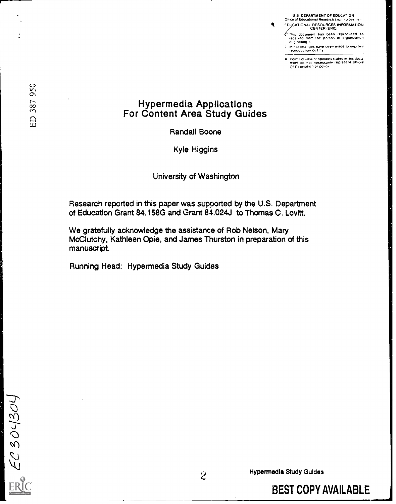U.S. DEPARTMENT OF EDUCATION<br>Office of Educational Research and improvement

EDUCATIONAL RESOURCES INFORMATION<br>CENTER (ERICI

 $\bullet$ 

- . 7 hts document has been reproduced as received from the person or organization.<br>originating it
- ; : Minor changes nave been made to improve.<br>- reproduction quality

Points of view or opinions stated in this docu<br>ment :do :not: necessarily represent: official<br>OERI position or policy

# Hypermedia Applications For Content Area Study Guides

Randall Boone

Kyle Higgins

University of Washington

Research reported in this paper was supported by the U.S. Department of Education Grant 84.158G and Grant 84.024J to Thomas C. Lovitt.

We gratefully acknowledge the assistance of Rob Nelson, Mary McClutchy, Kathleen Opie, and James Thurston in preparation of this manuscript.

Running Head: Hypermedia Study Guides

ED 387 950

EC 304304

ER

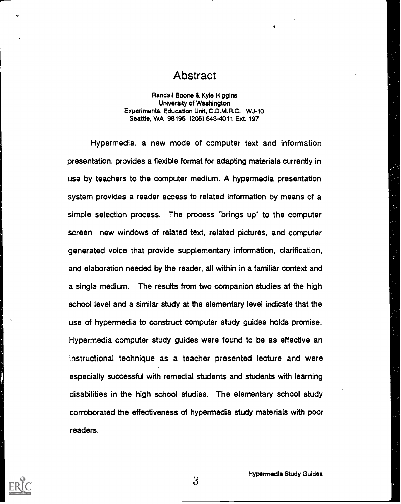### Abstract

 $\overline{1}$ 

Randall Boone & Kyle Higgins University of Washington Experimental Education Untt, C.D.M.R.C. WJ-10 Seattle, WA 98195 (206) 543-4011 Ext. 197

Hypermedia, a new mode of computer text and information presentation, provides a flexible format for adapting materials currently in use by teachers to the computer medium. A hypermedia presentation system provides a reader access to related information by means of a simple selection process. The process °brings up" to the computer screen new windows of related text, related pictures, and computer generated voice that provide supplementary information, clarification, and elaboration needed by the reader, all within in a familiar context and a single medium. The results from two companion studies at the high school level and a similar study at the elementary level indicate that the use of hypermedia to construct computer study guides holds promise. Hypermedia computer study guides were found to be as effective an instructional technique as a teacher presented lecture and were especially successful with remedial students and students with learning disabilities in the high school studies. The elementary school study corroborated the effectiveness of hypermedia study materials with poor readers.

 $3 \sim 3$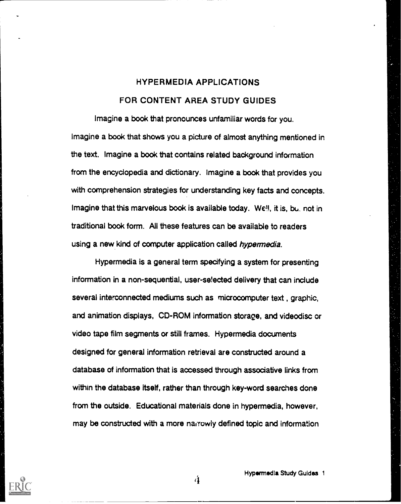## HYPERMEDIA APPLICATIONS FOR CONTENT AREA STUDY GUIDES

Imagine a book that pronounces unfamiliar words for you. Imagine a book that shows you a picture of almost anything mentioned in the text. Imagine a book that contains related background information from the encyclopedia and dictionary. Imagine a book that provides you with comprehension strategies for understanding key facts and concepts. Imagine that this marvelous book is available today. Well, it is, bu. not in traditional book form. All these features can be available to readers using a new kind of computer application called hypermedia.

Hypermedia is a general term specifying a system for presenting information in a non-sequential, user-se!ected delivery that can include several interconnected mediums such as microcomputer text , graphic, and animation displays, CD-ROM information storage, and videodisc or video tape film segments or still frames. Hypermedia documents designed for general information retrieval are constructed around a database of information that is accessed through associative links from within the database itself, rather than through key-word searches done from the outside. Educational materials done in hypermedia, however, may be constructed with a more narrowly defined topic and information



Hypermedia Study Guides 1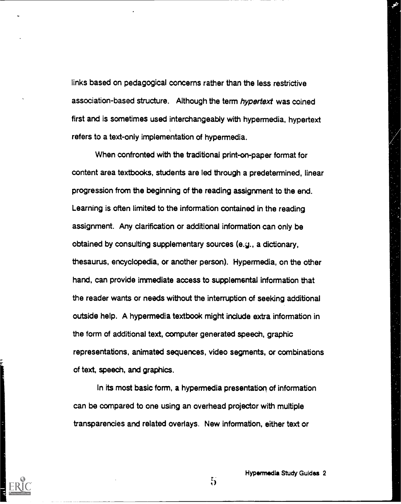links based on pedagogical concerns rather than the less restrictive association-based structure. Although the term hypertext was coined first and is sometimes used interchangeably with hypermedia, hypertext refers to a text-only implementation of hypermedia.

When confronted with the traditional print-on-paper format for content area textbooks, students are led through a predetermined, linear progression from the beginning of the reading assignment to the end. Learning is often limited to the information contained in the reading assignment. Any clarification or additional information can only be obtained by consulting supplementary sources (e.g., a dictionary, thesaurus, encyclopedia, or another person). Hypermedia, on the other hand, can provide immediate access to supplemental information that the reader wants or needs without the interruption of seeking additional outside help. A hypermedia textbook might include extra information in the form of additional text, computer generated speech, graphic representations, animated sequences, video segments, or combinations of text, speech, and graphics.

In its most basic form, a hypermedia presentation of information can be compared to one using an overhead projector with multiple transparencies and related overlays. New information, either text or



Hypermedia Study Guides 2

 $5<sub>1</sub>$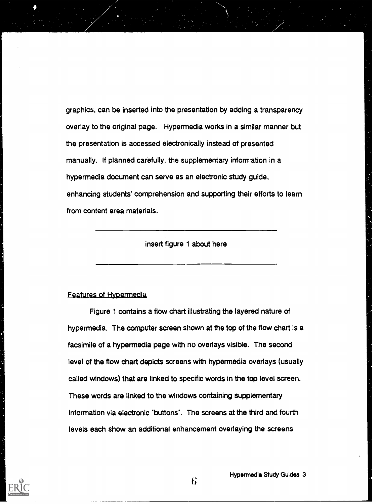graphics, can be inserted into the presentation by adding a transparency overlay to the original page. Hypermedia works in a similar manner but the presentation is accessed electronically instead of presented manually. If planned carefully, the supplementary information in a hypermedia document can serve as an electronic study guide, enhancing students' comprehension and supporting their efforts to learn from content area materials.

insert figure 1 about here

#### Features of Hypermedia

Figure 1 contains a flow chart illustrating the layered nature of hypermedia. The computer screen shown at the top of the flow chart is a facsimile of a hypermedia page with no overlays visible. The second level of the flow chart depicts screens with hypermedia overlays (usually called windows) that are linked to specific words in the top level screen. These words are linked to the windows containing supplementary information via electronic 'buttons'. The screens at the third and fourth levels each show an additional enhancement overlaying the screens



 $\mathbf{6}$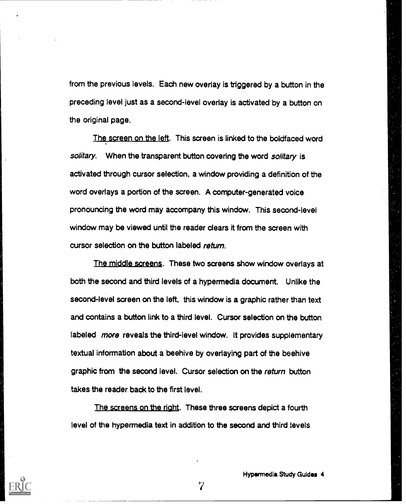from the previous levels. Each new overlay is triggered by a button in the preceding level just as a second-level overlay is activated by a button on the original page.

The screen on the left. This screen is linked to the boldfaced word solitary. When the transparent button covering the word solitary is activated through cursor selection, a window providing a definition of the word overlays a portion of the screen. A computer-generated voice pronouncing the word may accompany this window. This second-level window may be viewed until the reader clears it from the screen with cursor selection on the button labeled return.

The middle screens. These two screens show window overlays at both the second and third levels of a hypermedia document. Unlike the second-level screen on the left, this window is a graphic rather than text and contains a button link to a third level. Cursor selection on the button labeled more reveals the third-level window. It provides supplementary textual information about a beehive by overlaying part of the beehive graphic from the second level. Cursor selection on the return button takes the reader back to the first level.

The screens on the right. These three screens depict a fourth level of the hypermedia text in addition to the second and third levels



 $\gamma$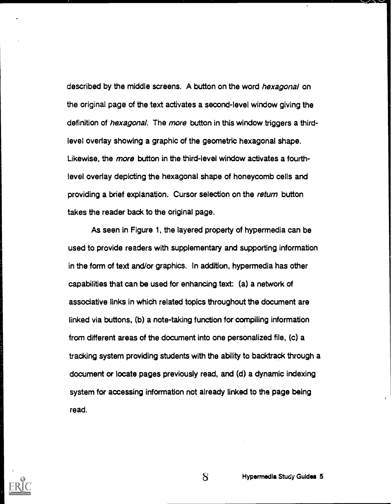described by the middle screens. A button on the word hexagonal on the original page of the text activates a second-level window giving the definition of *hexagonal*. The *more* button in this window triggers a thirdlevel overlay showing a graphic of the geometric hexagonal shape. Likewise, the more button in the third-level window activates a fourthlevel overlay depicting the hexagonal shape of honeycomb cells and providing a brief explanation. Cursor selection on the return button takes the reader back to the original page.

As seen in Figure 1, the layered property of hypermedia can be used to provide readers with supplementary and supporting information in the form of text and/or graphics. In addition, hypermedia has other capabilities that can be used for enhancing text: (a) a network of associative links in which related topics throughout the document are linked via buttons, (b) a note-taking function for compiling information from different areas of the document into one personalized file, (c) a tracking system providing students with the ability to backtrack through a document or locate pages previously read, and (d) a dynamic indexing system for accessing information not already linked to the page being read.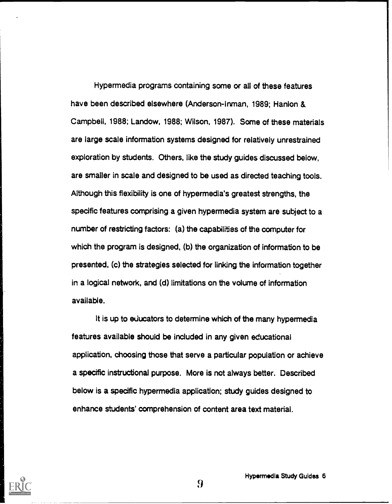Hypermedia programs containing some or all of these features have been described elsewhere (Anderson-Inman, 1989; Hanlon & Campbell, 1988; Landow, 1988; Wilson, 1987). Some of these materials are iarge scale information systems designed for relatively unrestrained exploration by students. Others, like the study guides discussed below, are smaller in scale and designed to be used as directed teaching tools. Although this flexibility is one of hypermedia's greatest strengths, the specific features comprising a given hypermedia system are subject to a number of restricting factors: (a) the capabilities of the computer for which the program is designed, (b) the organization of information to be presented, (c) the strategies selected for linking the information together in a logical network, and (d) limitations on the volume of information available.

It is up to educators to determine which of the many hypermedia features available should be included in any given educational application, choosing those that serve a particular population or achieve a specific instructional purpose. More is not always better. Described below is a specific hypermedia application; study guides designed to enhance students' comprehension of content area text material.

Hypermedia Study Guides 6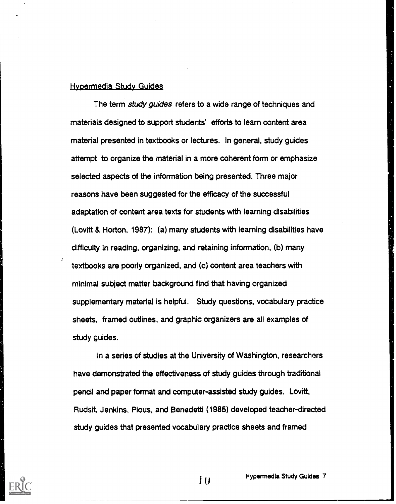#### Hyoermedia Study Guides

The term *study guides* refers to a wide range of techniques and materials designed to support students' efforts to learn content area material presented in textbooks or lectures. In general, study guides attempt to organize the material in a more coherent form or emphasize selected aspects of the information being presented. Three major reasons have been suggested for the efficacy of the successful adaptation of content area texts for students with learning disabilities (Lovitt & Horton, 1987): (a) many students with learning disabilities have difficulty in reading, organizing, and retaining information, (b) many textbooks are poorly organized, and (c) content area teachers with minimal subject matter background find that having organized supplementary material is helpful. Study questions, vocabulary practice sheets, framed outlines, and graphic organizers are all examples of study guides.

In a series of studies at the University of Washington, researchers have demonstrated the effectiveness of study guides through traditional pencil and paper format and computer-assisted study guides. Lovitt, Rudsit, Jenkins, Pious, and Benedetti (1985) developed teacher-directed study guides that presented vocabulary practice sheets and framed

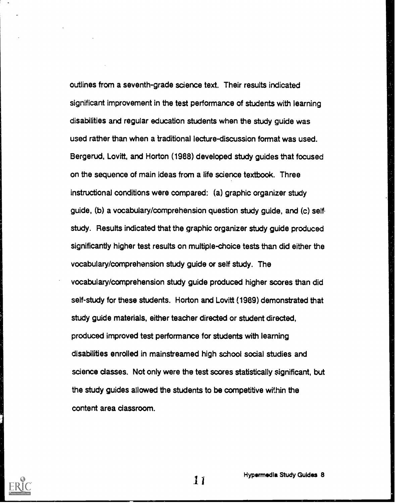outlines from a seventh-grade science text. Their results indicated significant improvement in the test performance of students with learning disabilities and regular education students when the study guide was used rather than when a traditional lecture-discussion format was used. Bergerud, Lovitt, and Horton (1988) developed study guides that focused on the sequence of main ideas from a life science textbook. Three instructional conditions were compared: (a) graphic organizer study guide, (b) a vocabulary/comprehension question study guide, and (c) self. study. Results indicated that the graphic organizer study guide produced significantly higher test results on multiple-choice tests than did either the vocabulary/comprehension study guide or self study. The vocabulary/comprehension study guide produced higher scores than did self-study for these students. Horton and Lovitt (1989) demonstrated that study guide materials, either teacher directed or student directed, produced improved test performance for students with learning disabilities enrolled in mainstreamed high school social studies and science classes. Not only were the test scores statistically significant, but the study guides allowed the students to be competitive within the content area classroom.

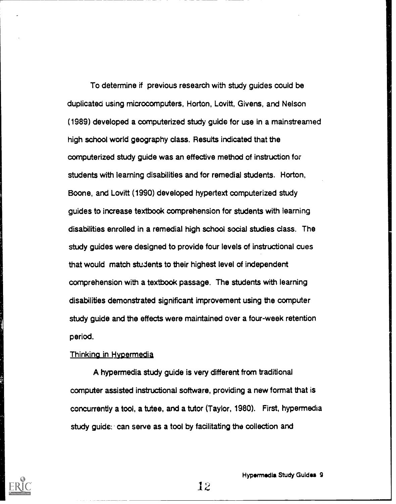To determine if previous research with study guides could be duplicated using microcomputers, Horton, Lovitt, Givens, and Nelson (1989) developed a computerized study guide for use in a mainstreamed high school world geography class. Results indicated that the computerized study guide was an effective method of instruction for students with learning disabilities and for remedial students. Horton, Boone, and Lovitt (1990) developed hypertext computerized study guides to increase textbook comprehension for students with learning disabilities enrolled in a remedial high school social studies class. The study guides were designed to provide four levels of instructional cues that would match students to their highest level of independent comprehension with a textbook passage. The students with learning disabilities demonstrated significant improvement using the computer study guide and the effects were maintained over a four-week retention period.

#### Thinking in Hypermedia

A hypermedia study guide is very different from traditional computer assisted instructional software, providing a new format that is concurrently a tool, a tutee, and a tutor (Taylor, 1980). First, hypermedia study guide: can serve as a tool by facilitating the collection and

Hypermedia Study Guides 9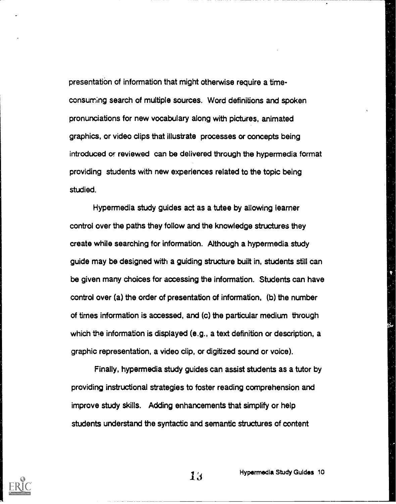presentation of information that might otherwise require a timeconsuming search of multiple sources. Word definitions and spoken pronunciations for new vocabulary along with pictures, animated graphics, or video clips that illustrate processes or concepts being introduced or reviewed can be delivered through the hypermedia format providing students with new experiences related to the topic being studied.

Hypermedia study guides act as a tutee by allowing learner control over the paths they follow and the knowledge structures they create while searching for information. Although a hypermedia study guide may be designed with a guiding structure built in, students still can be given many choices for accessing the information. Students can have control over (a) the order of presentation of information, (b) the number of times information is accessed, and (c) the particular medium through which the information is displayed (e.g., a text definition or description, a graphic representation, a video clip, or digitized sound or voice).

Finally, hypermedia study guides can assist students as a tutor by providing instructional strategies to foster reading comprehension and improve study skills. Adding enhancements that simplify or help students understand the syntactic and semantic structures of content



Hypermedia Study Guides 10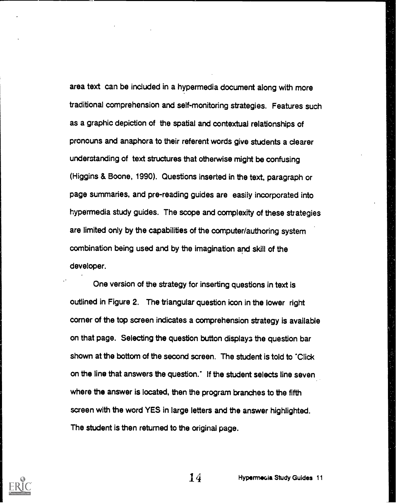area text can be included in a hypermedia document along with more traditional comprehension and self-monitoring strategies. Features such as a graphic depiction of the spatial and contextual relationships of pronouns and anaphora to their referent words give students a clearer understanding of text structures that otherwise might be confusing (Higgins & Boone, 1990). Questions inseried in the text, paragraph or page summaries, and pre-reading guides are easily incorporated into hypermedia study guides. The scope and complexity of these strategies are limited only by the capabilities of the computer/authoring system combination being used and by the imagination and skill of the developer.

One version of the strategy for inserting questions in text is outlined in Figure 2. The triangular question icon in the lower right corner of the top screen indicates a comprehension strategy is available on that page. Selecting the question button displays the question bar shown at the bottom of the second screen. The student is told to "Click on the line that answers the question." If the student selects line seven where the answer is located, then the program branches to the fifth screen with the word YES in large letters and the answer highlighted. The student is then returned to the original page.

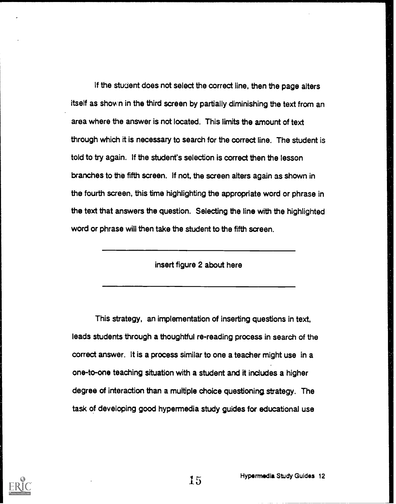If the student does not select the correct line, then the page alters itself as shov.n in the third screen by partially diminishing the text from an area where the answer is not located. This limits the amount of text through which it is necessary to search for the correct line. The student is told to try again. If the student's selection is correct then the lesson branches to the fifth screen. If not, the screen alters again as shown in the fourth screen, this time highlighting the appropriate word or phrase in the text that answers the question. Selecting the line with the highlighted word or phrase will then take the student to the fifth screen.

#### insert figure 2 about here

This strategy, an implementation of inserting questions in text, leads students through a thoughtful re-reading process in search of the correct answer. It is a process similar to one a teacher might use in a one-to-one teaching situation with a student and it includes a higher degree of interaction than a multiple choice questioning strategy. The task of developing good hypermedia study guides for educational use

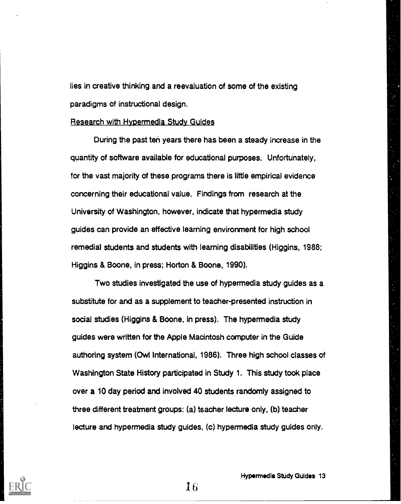lies in creative thinking and a reevaluation of some of the existing paradigms of instructional design.

#### Research with Hypermedia Study Guides

During the past ten years there has been a steady increase in the quantity of software available for educational purposes. Unfortunately, for the vast majority of these programs there is little empirical evidence concerning their educational value. Findings from research at the University of Washington, however, indicate that hypermedia study guides can provide an effective learning environment for high school remedial students and students with learning disabilities (Higgins, 1988; Higgins & Boone, in press; Horton & Boone, 1990).

Two studies investigated the use of hypermedia study guides as a substitute for and as a supplement to teacher-presented instruction in social studies (Higgins & Boone, in press). The hypermedia study guides were written for the Apple Macintosh computer in the Guide authoring system (Owl International, 1986). Three high school classes of Washington State History participated in Study 1. This study took place over a 10 day period and involved 40 students randomly assigned to three different treatment groups: (a) teacher lecture only, (b) teacher lecture and hypermedia study guides, (c) hypermedia study guides only.

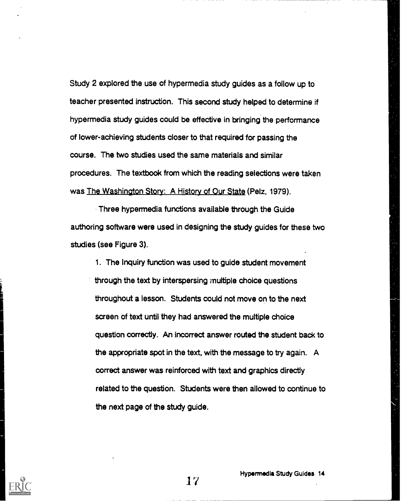Study 2 explored the use of hypermedia study guides as a follow up to teacher presented instruction. This second study helped to determine if hypermedia study guides could be effective in bringing the performance of lower-achieving students closer to that required for passing the course. The two studies used the same materials and similar procedures. The textbook from which the reading selections were taken was The Washington Story: A History of Our State (Peiz, 1979).

Three hypermedia functions available through the Guide authoring software were used in designing the study guides for these two studies (see Figure 3).

1. The Inquiry function was used to guide student movement through the text by interspersing multiple choice questions throughout a lesson. Students could not move on to the next screen of text until they had answered the multiple choice question correctly. An incorrect answer routed the student back to the appropriate spot in the text, with the message to try again. A correct answer was reinforced with text and graphics directly related to the question. Students were then allowed to continue to the next page of the study guide.

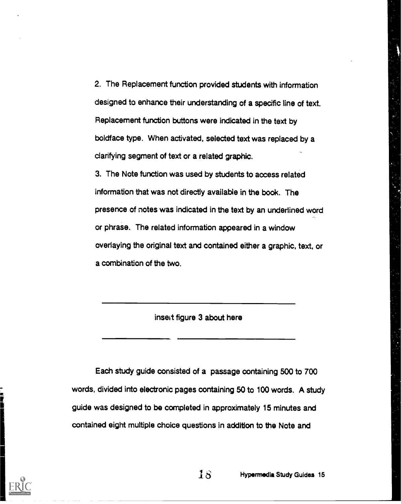2. The Replacement function provided students with information designed to enhance their understanding of a specific line of text. Replacement function buttons were indicated in the text by boldface type. When activated, selected text was replaced by a clarifying segment of text or a related graphic.

3. The Note function was used by students to access related information that was not directly available in the book. The presence of notes was indicated in the text by an underlined word or phrase. The related information appeared in a window overlaying the original text and contained either a graphic, text, or a combination of the two.

insed figure 3 about here

Each study guide consisted of a passage containing 500 to 700 words, divided into electronic pages containing 50 to 100 words. A study guide was designed to be completed in approximately 15 minutes and contained eight multiple choice questions in addition to the Note and



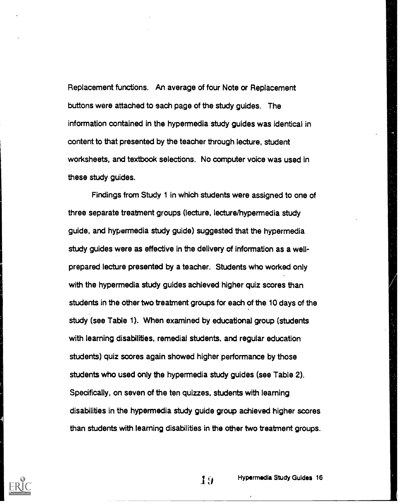Replacement functions. An average of four Note or Replacement buttons were attached to each page of the study guides. The information contained in the hypermedia study guides was identical in content to that presented by the teacher through lecture, student worksheets, and textbook selections. No computer voice was used in these study guides.

Findings from Study 1 in which students were assigned to one of three separate treatment groups (lecture, lecture/hypermedia study guide, and hypermedia study guide) suggested that the hypermedia study guides were as effective in the delivery of information as a wellprepared lecture presented by a teacher. Students who worked only with the hypermedia study guides achieved higher quiz scores than students in the other two treatment groups for each of the 10 days of the study (see Table 1). When examined by educational group (students with learning disabilities, remedial students, and regular education students) quiz scores again showed higher performance by those students who used only the hypermedia study guides (see Table 2). Specifically, on seven of the ten quizzes, students with learning disabilities in the hypermedia study guide group achieved higher scores than students with learning disabilities in the other two treatment groups.

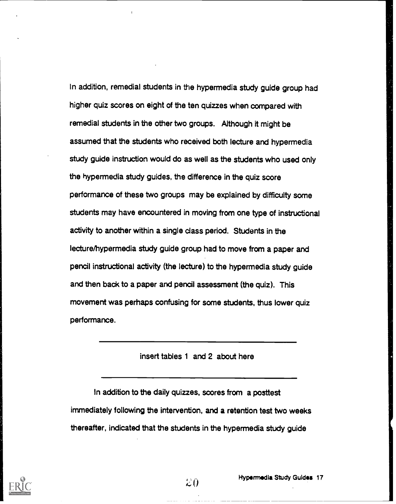In addition, remedial students in the hypermedia study guide group had higher quiz scores on eight of the ten quizzes when compared with remedial students in the other two groups. Although it might be assumed that the students who received both lecture and hypermedia study guide instruction would do as well as the students who used only the hypermedia study guides, the difference in the quiz score performance of these two groups may be explained by difficulty some students may have encountered in moving from one type of instructional activity to another within a single class period. Students in the lecture/hypermedia study guide group had to move from a paper and pencil instructional activity (the lecture) to the hypermedia study guide and then back to a paper and pencil assessment (the quiz). This movement was perhaps confusing for some students, thus lower quiz performance.

#### insert tables 1 and 2 about here

In addition to the daily quizzes, scores from a posttest immediately following the intervention, and a retention test two weeks thereafter, indicated that the students in the hypermedia study guide

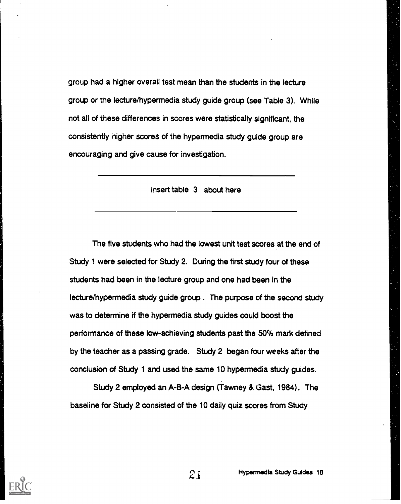group had a higher overall test mean than the students in the lecture group or the lecture/hypermedia study guide group (see Table 3). While not all of these differences in scores were statistically significant, the consistently higher scores of the hypermedia study guide group are encouraging and give cause for investigation.

insert table 3 about here

The five students who had the lowest unit test scores at the end of Study 1 were selected for Study 2. During the first study four of these students had been in the lecture group and one had been in the lecture/hypermedia study guide group . The purpose of the second study was to determine if the hypermedia study guides could boost the performance of these low-achieving students past the 50% mark defined by the teacher as a passing grade. Study 2 began four weeks after the conclusion of Study 1 and used the same 10 hypermedia study guides.

Study 2 employed an A-B-A design (Tawney 8. Gast, 1984). The baseline for Study 2 consisted of the 10 daily quiz scores from Study

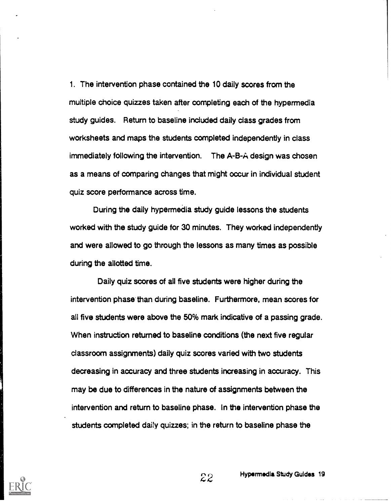1. The intervention phase contained the 10 daily scores from the multiple choice quizzes taken after completing each of the hypermedia study guides. Return to baseline included daily class grades from worksheets and maps the students completed independently in class immediately following the intervention. The A-B-A design was chosen as a means of comparing changes that might occur in individual student quiz score performance across time.

During the daily hypermedia study guide lessons the students worked with the study guide for 30 minutes. They worked independently and were allowed to go through the lessons as many times as possible during the allotted time.

Daily quiz scores of all five students were higher during the intervention phase than during baseline. Furthermore, mean scores for all five students were above the 50% mark indicative of a passing grade. When instruction returned to baseline conditions (the next five regular classroom assignments) daily quiz scores varied with two students decreasing in accuracy and three students increasing in accuracy. This may be due to differences in the nature of assignments between the intervention and return to baseline phase. In the intervention phase the students completed daily quizzes; in the return to baseline phase the

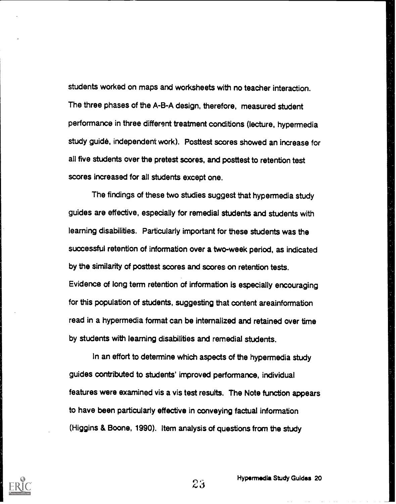students worked on maps and worksheets with no teacher interaction. The three phases of the A-B-A design, therefore, measured student performance in three different treatment conditions (lecture, hypermedia study guide, independent work). Posttest scores showed an increase for all five students over the pretest scores, and posttest to retention test scores increased for all students except one.

The findings of these two studies suggest that hypermedia study guides are effective, especially for remedial students and students with learning disabilities. Particularly important for these students was the successful retention of information over a two-week period, as indicated by the similarity of posttest scores and scores on retention tests. Evidence of long term retention of information is especially encouraging for this population of students, suggesting that content areainformation read in a hypermedia format can be internalized and retained over time by students with learning disabilities and remedial students.

In an effort to determine which aspects of the hypermedia study guides contributed to students' improved performance, individual features were examined vis a vis test results. The Note function appears to have been particularly effective in conveying factual information (Higgins & Boone, 1990). Item analysis of questions from the study



Hypermedia Study Guides 20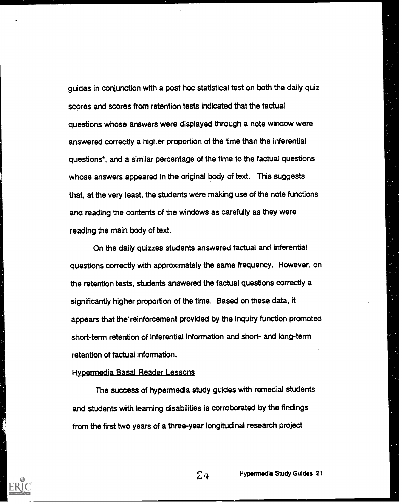guides in conjunction with a post hoc statistical test on both the daily quiz scores and scores from retention tests indicated that the factual questions whose answers were displayed through a note window were answered correctly a higher proportion of the time than the inferential questions\*, and a similar percentage of the time to the factual questions whose answers appeared in the original body of text. This suggests that, at the very least, the students were making use of the note functions and reading the contents of the windows as carefully as they were reading the main body of text.

On the daily quizzes students answered factual and inferential questions correctly with approximately the same frequency. However, on the retention tests, students answered the factual questions correctly a significantly higher proportion of the time. Based on these data, it appears that the reinforcement provided by the inquiry function promoted short-term retention of inferential information and short- and long-term retention of factual information.

#### Hypermedia Basal Reader Lessons

The success of hypermedia study guides with remedial students and students with learning disabilities is corroborated by the findings from the first two years of a three-year longitudinal research project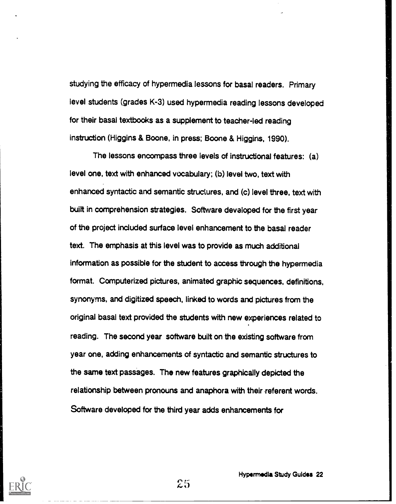studying the efficacy of hypermedia lessons for basal readers. Primary level students (grades K-3) used hypermedia reading lessons developed for their basal textbooks as a supplement to teacher-led reading instruction (Higgins & Boone, in press; Boone & Higgins, 1990).

The lessons encompass three levels of instructional features: (a) level one, text with enhanced vocabulary; (b) level two, text with enhanced syntactic and semantic structures, and (c) level three, text with built in comprehension strategies. Software developed for the first year of the project included surface level enhancement to the basal reader text. The emphasis at this level was to provide as much additional information as possible for the student to access through the hypermedia format. Computerized pictures, animated graphic sequences, definitions, synonyms, and digitized speech, linked to words and pictures from the original basal text provided the students with new everiences related to reading. The second year software built on the existing software from year one, adding enhancements of syntactic and semantic structures to the same text passages. The new features graphically depicted the relationship between pronouns and anaphora with their referent words. Software developed for the third year adds enhancements for



Ftypermedla Study Guides 22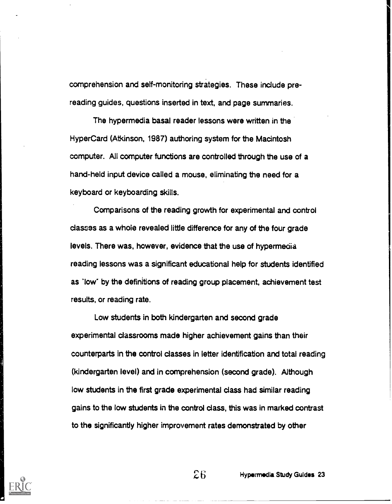comprehension and self-monitoring strategies. These include prereading guides, questions inserted in text, and page summaries.

The hypermedia basal reader lessons were written in the HyperCard (Atkinson, 1987) authoring system for the Macintosh computer. All computer functions are controlled through the use of a hand-held input device called a mouse, eliminating the need for a keyboard or keyboarding skills.

Comparisons of the reading growth for experimental and control classes as a whoie revealed little difference for any of the four grade levels. There was, however, evidence that the use of hypermedia reading lessons was a significant educational help for students identified as 'low" by the definitions of reading group placement, achievement test results, or reading rate.

Low students in both kindergarten and second grade experimental classrooms made higher achievement gains than their counterparts in the control classes in letter identification and total reading (kindergarten level) and in comprehension (second grade). Although low students in the first grade experimental class had similar reading gains to the low students in the control class, this was in marked contrast to the significantly higher improvement rates demonstrated by other

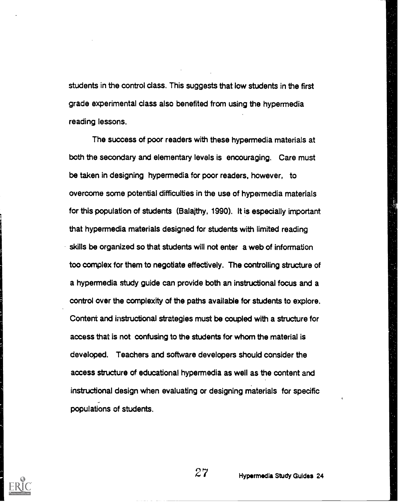students in the control class. This suggests that low students in the first grade experimental class also benefited from using the hypermedia reading lessons.

The success of poor readers with these hypermedia materials at both the secondary and elementary levels is encouraging. Care must be taken in designing hypermedia for poor readers, however, to overcome some potential difficulties in the use of hypermedia materials for this population of students (Balaithy, 1990). It is especially important that hypermedia materials designed for students with limited reading skills be organized so that students will not enter a web of information too complex for them to negotiate effectively. The controlling structure of a hypermedia study guide can provide both an instructional focus and a control over the complexity of the paths available for students to explore. Content and instructional strategies must be coupled with a structure for access that is not confusing to the students for whom the material is developed. Teachers and software developers should consider the access structure of educational hypermedia as well as the content and instructional design when evaluating or designing materials for specific populations of students.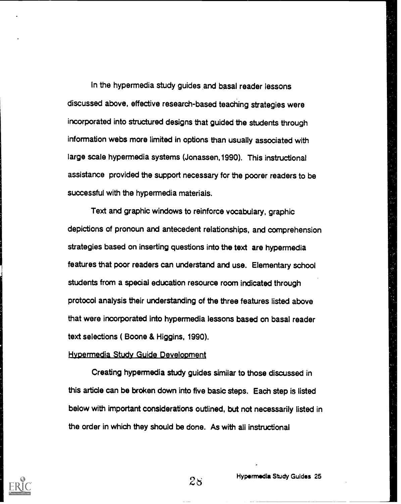In the hypermedia study guides and basal reader lessons discussed above, effective research-based teaching strategies were incorporated into structured designs that guided the students through information webs more limited in options than usually associated with large scale hypermedia systems (Jonassen,1990). This instructional assistance provided the support necessary for the poorer readers to be successful with the hypermedia materials.

Text and graphic windows to reinforce vocabulary, graphic depictions of pronoun and antecedent relationships, and comprehension strategies based on inserting questions into the text are hypermedia features that poor readers can understand and use. Elementary school students from a special education resource room indicated through protocol analysis their understanding of the three features listed above that were incorporated into hypermedia lessons based on basal reader text selections ( Boone & Higgins, 1990).

#### Hypermedia Study Guide Development

Creating hypermedia study guides similar to those discussed in this article can be broken down into five basic steps. Each step is listed below with important considerations outlined, but not necessarily listed in the order in which they should be done. As with all instructional

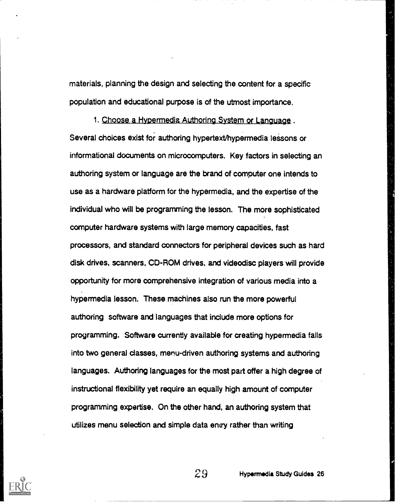materials, planning the design and selecting the content for a specific population and educational purpose is of the utmost importance.

1. Choose a Hypermedia Authoring System or Language . Several choices exist for authoring hypertext/hypermedia lessons or informational documents on microcomputers. Key factors in selecting an authoring system or language are the brand of computer one intends to use as a hardware platform for the hypermedia, and the expertise of the individual who will be programming the lesson. The more sophisticated computer hardware systems with large memory capacities, fast processors, and standard connectors for peripheral devices such as hard disk drives, scanners, CD-ROM drives, and videodisc players will provide opportunity for more comprehensive integration of various media into a hypermedia lesson. These machines also run the more powerful authoring software and languages that include more options for programming. Software currently available for creating hypermedia falls into two general classes, menu-driven authoring systems and authoring languages. Authoring languages for the most part offer a high degree of instructional flexibility yet require an equally high amount of computer programming expertise. On the other hand, an authoring system that utilizes menu selection and simple data entry rather than writing

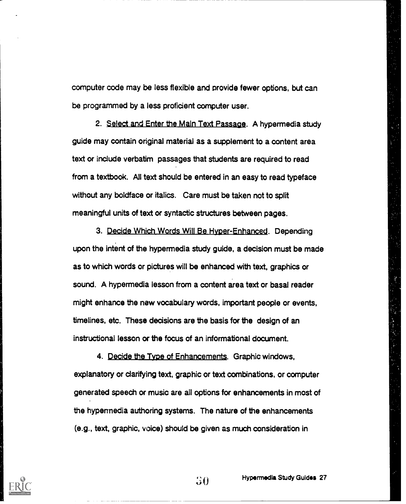computer code may be less flexible and provide fewer options, but can be programmed by a less proficient computer user.

2. Select and Enter the Main Text Passage. A hypermedia study guide may contain original material as a supplement to a content area text or include verbatim passages that students are required to read from a textbook. All text should be entered in an easy to read typeface without any boldface or italics. Care must be taken not to split meaningful units of text or syntactic structures between pages.

3. Decide Which Words Will Be Hyper-Enhanced. Depending upon the intent of the hypermedia study guide, a decision must be made as to which words or pictures will be enhanced with text, graphics or sound. A hypermedia lesson from a content area text or basal reader might enhance the new vocabulary words, important people or events, timelines, etc. These decisions are the basis for the design of an instructional lesson or the focus of an informational document.

4. Decide the Type of Enhancements. Graphic windows, explanatory or clarifying text, graphic or text combinations, or computer generated speech or music are all options for enhancements in most of the hypennedia authoring systems. The nature of the enhancements (e.g., text, graphic, voice) should be given as much consideration in

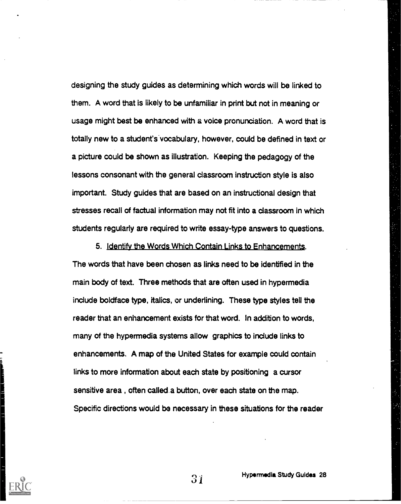designing the study guides as determining which words will be linked to them. A word that is likely to be unfamiliar in print but not in meaning or usage might best be enhanced with a voice pronunciation. A word that is totally new to a student's vocabulary, however, could be defined in text or a picture could be shown as illustration. Keeping the pedagogy of the lessons consonant with the general classroom instruction style is also important. Study guides that are based on an instructional design that stresses recall of factual information may not fit into a classroom in which students regularly are required to write essay-type answers to questions.

5. Identify the Words Which Contain Links to Enhancements. The words that have been chosen as links need to be identified in the main body of text. Three methods that are often used in hypermedia include boldface type, italics, or underlining. These type styles tell the reader that an enhancement exists for that word. In addition to words, many of the hypermedia systems allow graphics to include links to enhancements. A map of the United States for example could contain links to more information about each state by positioning a cursor sensitive area , often called a button, over each state on the map. Specific directions would be necessary in these situations for the reader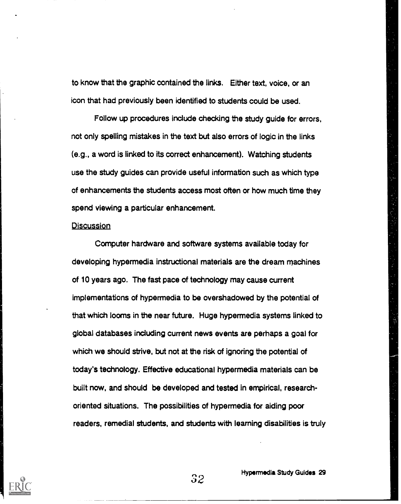to know that the graphic contained the links. Either text, voice, or an icon that had previously been identified to students could be used.

Follow up procedures include checking the study guide for errors, not only spelling mistakes in the text but also errors of logic in the links (e.g., a word is linked to its correct enhancement). Watching students use the study guides can provide useful information such as which type of enhancements the students access most often or how much time they spend viewing a particular enhancement.

#### **Discussion**

Computer hardware and software systems available today for developing hypermedia instructional materials are the dream machines of 10 years ago. The fast pace of technology may cause current implementations of hypermedia to be overshadowed by the potential of that which looms in the near future. Huge hypermedia systems linked to global databases including current news events are perhaps a goal for which we should strive, but not at the risk of ignoring the potential of today's technology. Effective educational hypermedia materials can be built now, and should be developed and tested in empirical, researchoriented situations. The possibilities of hypermedia for aiding poor readers, remedial students, and students with learning disabilities is truly

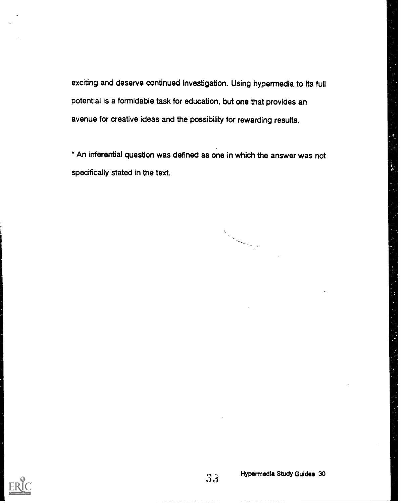exciting and deserve continued investigation. Using hypermedia to its full potential is a formidable task for education, but one that provides an avenue for creative ideas and the possibility for rewarding results.

' An inferential question was defined as one in which the answer was not specifically stated in the text.

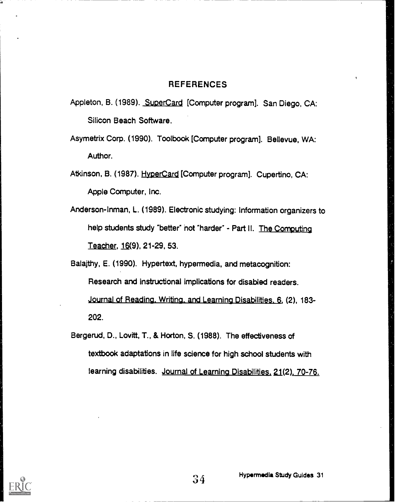#### REFERENCES

- Appleton, B. (1989). SuperCard [Computer program]. San Diego, CA: Silicon Beach Software.
- Asymetrix Corp. (1990). Toolbook [Computer program]. Bellevue, WA: Author.
- Atkinson, B. (1987). HyperCard [Computer program]. Cupertino, CA: Apple Computer, Inc.
- Anderson-Inman, L. (1989). Electronic studying: Information organizers to help students study "better" hot 'harder' - Part II. The Computing Teacher, 16(9), 21-29, 53.

Balajthy, E. (1990). Hypertext, hypermedia, and metacognition: Research and instructional implications for disabled readers. Journal of Reading. Writing. and Learning Disabilities. 6, (2), 183- 202.

Bergerud, D., Lovitt, T., & Horton, S. (1988). The effectiveness of textbook adaptations in life science for high school students with learning disabilities. Journal of Learning Disabilities, 21(2). 70-76.

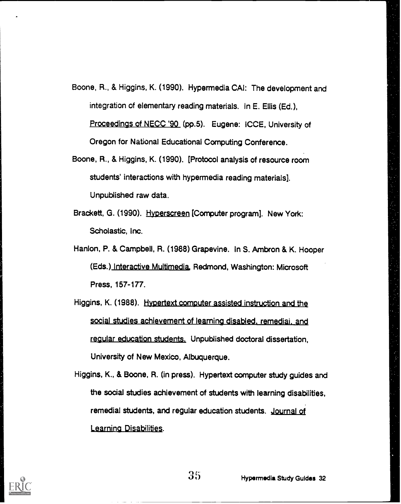- Boone, R., & Higgins, K. (1990). Hyperrnedia CAI: The development and integration of elementary reading materials. In E. Ellis (Ed.), Proceedings of NECC '90 (pp.5). Eugene: iCCE, University of Oregon for National Educational Computing Conference.
- Boone, R., & Higgins, K. (1990). [Protocol analysis of resource room students' interactions with hyperrnedia reading materials]. Unpublished raw data.
- Brackett, G. (1990). Hyperscreen [Computer program]. New York: Scholastic, Inc.
- Hanlon, P. & Campbell, R. (1988) Grapevine. In S. Ambron & K. Hooper (Eds.) Interactive Multimedia, Redmond, Washington: Microsoft Press, 157-177.
- Higgins, K. (1988). Hypertext computer assisted instruction and the social studies achievement of learning disabled, remedial, and regular education students. Unpublished doctoral dissertation, University of New Mexico, Albuquerque.
- Higgins, K., & Boone, R. (in press). Hypertext computer study guides and the social studies achievement of students with learning disabilities, remedial students, and regular education students. Journal of Learning Disabilities.

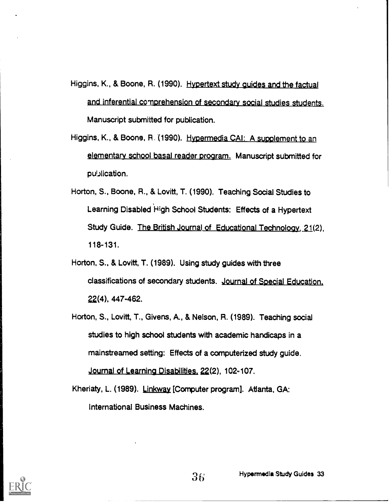Higgins, K., & Boone, R. (1990). Hypertext study guides and the factual and inferential comprehension of secondary social studies students. Manuscript submitted for publication.

- Higgins, K., & Boone, R. (1990). Hypermedia CAI: A supplement to an elementary school basal reader program. Manuscript submitted for publication.
- Horton, S., Boone, R., & Lovitt, T. (1990). Teaching Social Studies to Learning Disabled High School Students: Effects of a Hypertext Study Guide. The British Journal of Educational Technology, 21(2), 118-131.
- Horton, S., & Lovitt, T. (1989). Using study guides with three classifications of secondary students. Journal of Special Education. 22(4), 447-462.
- Horton, S., Lovitt, T., Givens, A., & Nelson, R. (1989). Teaching social studies to high school students with academic handicaps in a mainstreamed setting: Effects of a computerized study guide. Journal of Learning Disabilities, 22(2), 102-107.

Kheriaty, L. (1989). Linkway [Computer program]. Atlanta, GA: International Business Machines.

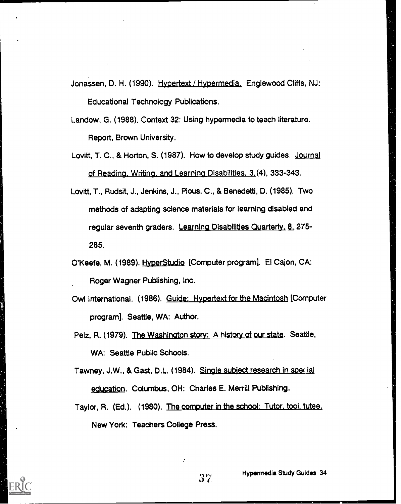Jonassen, D. H. (1990). Hypertext / Hypermedia. Englewood Cliffs, NJ: Educational Technology Publications.

Landow, G. (1988). Context 32: Using hypermedia to teach literature. Report, Brown University.

- Lovitt, T. C., & Horton, S. (1987). How to develop study guides. Journal of Reading. Writing. and Learning Disabilities. 3.(4), 333-343.
- Lovitt, T., Rudsit, J., Jenkins, J., Pious, C., & Benedetti, D. (1985). Two methods of adapting science materials for learning disabled and regular seventh graders. Learning Disabilities Quarterly, 8, 275-285.
- O'Keefe, M. (1989). HyperStudio [Computer program]. El Cajon, CA: Roger Wagner Publishing, Inc.
- Owl International. (1986). Guide: Hypertext for the Macintosh [Computer program]. Seattle, WA: Author.

Pelz, R. (1979). The Washington story: A history of our state. Seattle, WA: Seattle Public Schools.

Tawney, J.W., & Gast, D.L. (1984). Single subject research in special education. Columbus, OH: Charles E. Merrill Publishing.

Taylor, R. (Ed.). (1980). The computer in the school: Tutor. tool. tutee. New York: Teachers College Press.

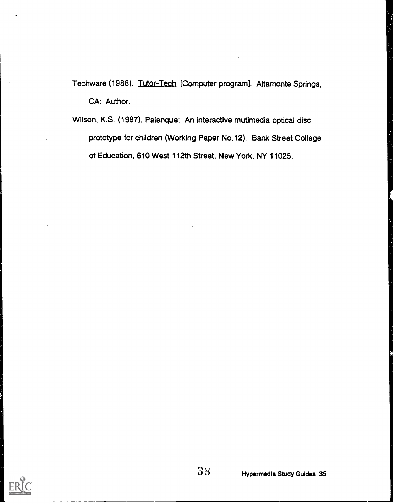Techware (1988). Tutor-Tech [Computer program]. Altamonte Springs, CA: Author.

Wilson, K.S. (1987). Palenque: An interactive mutimedia optical disc prototype for children (Working Paper No.12). Bank Street College of Education, 610 West 112th Street, New York, NY 11025.

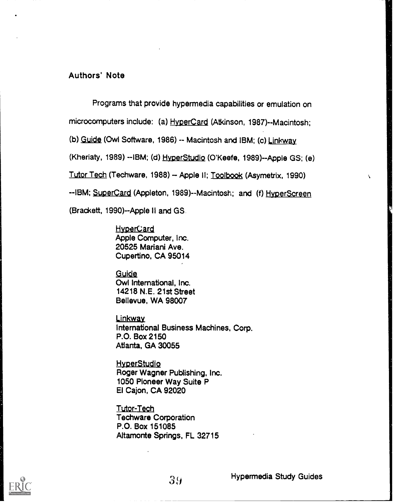#### Authors' Note

Programs that provide hypermedia capabilities or emulation on

microcomputers include: (a) HyperCard (Atkinson, 1987)--Macintosh;

(b) Guide (Owl Software, 1986) -- Macintosh and IBM; (c) Linkway

(Kheriaty, 1989) --IBM; (d) Hyper Studio (O'Keefe, 1989)--Apple GS; (e)

Tutor Tech (Techware, 1988) - Apple II; Toolbook (Asymetrix, 1990)

--IBM; SuperCard (Appleton, 1989)--Macintosh; and (f) HyperScreen

(Brackett, 1990)--Apple II and GS

**HyperCard** Apple Computer, Inc. 20525 Mariani Ave. Cupertino, CA 95014

Guide Owl International, Inc. 14218 N.E. 21st Street Bellevue, WA 98007

Linkway International Business Machines, Corp. P.O. Box 2150 Atlanta, GA 30055

**HyperStudio** Roger Wagner Publishing, Inc. 1050 Pioneer Way Suite P El Cajon, CA 92020

Tutor-Tech Techware Corporation P.O. Box 151085 Altamonte Springs, FL 32715

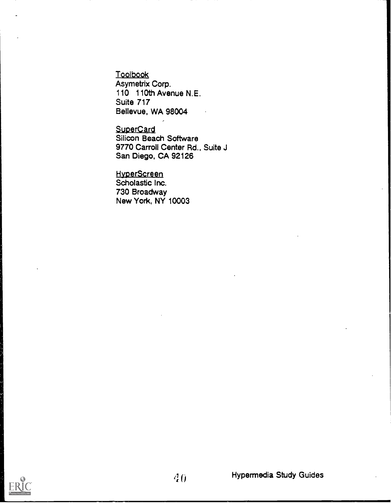Toolbook Asymetrix Corp. 110 110th Avenue N.E. Suite 717 Bellevue, WA 98004

**SuperCard** Silicon Beach Software 9770 Carroll Center Rd., Suite J San Diego, CA 92126

**HyperScreen** Scholastic Inc. 730 Broadway New York, NY 10003

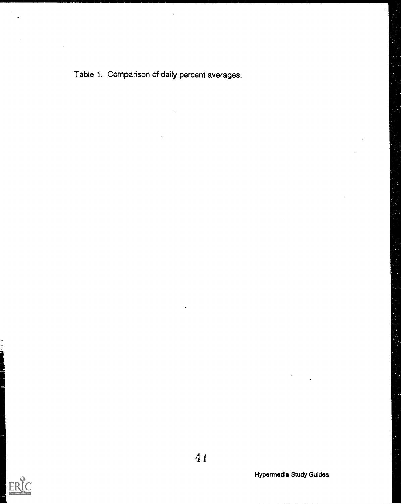Table 1. Comparison of daily percent averages.



Į

41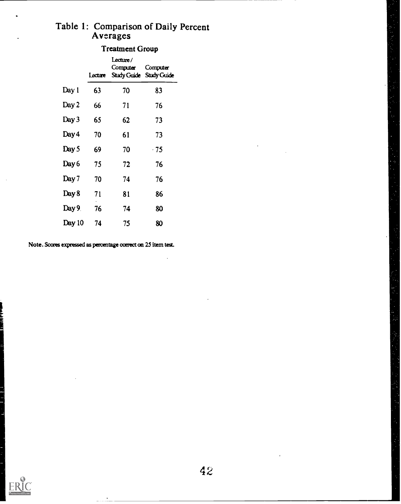# Table 1: Comparison of Daily Percent Averages

### Treatment Group

|        | Lecture | Lecture/<br>Computer | Computer<br>Study Guide Study Guide |
|--------|---------|----------------------|-------------------------------------|
| Day 1  | 63      | 70                   | 83                                  |
| Day 2  | 66      | 71                   | 76                                  |
| Day 3  | 65      | 62                   | 73                                  |
| Day 4  | 70      | 61                   | 73                                  |
| Day 5  | 69      | 70                   | - 75                                |
| Day 6  | 75      | 72                   | 76                                  |
| Day 7  | 70      | 74                   | 76                                  |
| Day 8  | 71      | 81                   | 86                                  |
| Day 9. | 76      | 74                   | 80                                  |
| Day 10 | 74      | 75                   | 80                                  |

Note. Scores expressed as percentage correct on 25 item test.

Ļ.

ÿ,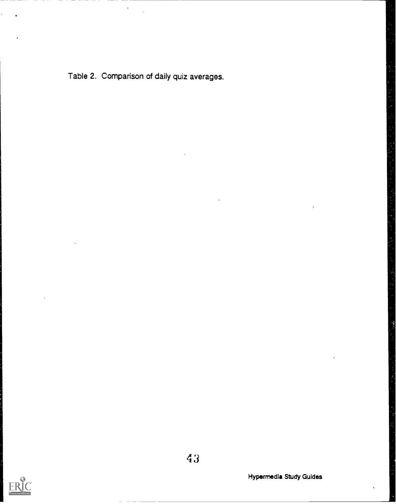Table 2. Comparison of daily quiz averages.



4 3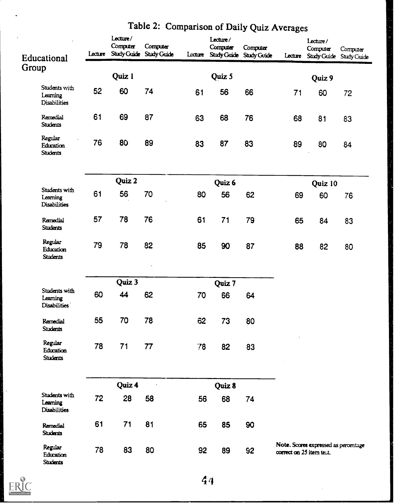| Educational                                      | Lecture | Lecture/<br>Computer | Computer<br>Study Guide Study Guide | Lecture | Lecture/<br>Computer | Computer<br>Study Guide Study Guide | Lecture                                                          | Lecture/<br>Computer | Computer<br>Study Guide Study Guide |
|--------------------------------------------------|---------|----------------------|-------------------------------------|---------|----------------------|-------------------------------------|------------------------------------------------------------------|----------------------|-------------------------------------|
| Group                                            |         |                      |                                     |         |                      |                                     |                                                                  |                      |                                     |
|                                                  |         | Quiz 1               |                                     |         | Quiz 5               |                                     |                                                                  | Quiz 9               |                                     |
| Students with<br>Learning<br><b>Disabilities</b> | 52      | 60                   | 74                                  | 61      | 56                   | 66                                  | 71                                                               | 60                   | 72                                  |
| Remedial<br><b>Students</b>                      | 61      | 69                   | 87                                  | 63      | 68                   | 76                                  | 68                                                               | 81                   | 83                                  |
| Regular<br>Education<br><b>Students</b>          | 76      | 80                   | 89                                  | 83      | 87                   | 83                                  | 89                                                               | 80                   | 84                                  |
|                                                  |         | Quiz 2               |                                     | Quiz 6  |                      | Quiz 10                             |                                                                  |                      |                                     |
| Students with<br>Learning<br><b>Disabilities</b> | 61      | 56                   | 70                                  | 80      | 56                   | 62                                  | 69                                                               | 60                   | 76                                  |
| Remedial<br><b>Students</b>                      | 57      | 78                   | 76                                  | 61      | 71                   | 79                                  | 65                                                               | 84                   | 83                                  |
| Regular<br>Education<br><b>Students</b>          | 79      | 78                   | 82                                  | 85      | 90                   | 87                                  | 88                                                               | 82                   | 80                                  |
|                                                  |         | Quiz 3               |                                     |         |                      |                                     |                                                                  |                      |                                     |
| Students with<br>Learning<br><b>Disabilities</b> | 60      | 44                   | 62                                  | 70      | Quiz 7<br>66         | 64                                  |                                                                  |                      |                                     |
| Remedial<br><b>Students</b>                      | 55      | 70                   | 78                                  | 62      | 73                   | 80                                  | $\mathbf{r}$                                                     |                      |                                     |
| Regular<br>Education<br><b>Students</b>          | 78      | 71                   | 77                                  | 78      | 82                   | 83                                  |                                                                  |                      |                                     |
|                                                  |         | Quiz 4               |                                     |         | Quiz 8               |                                     |                                                                  |                      |                                     |
| Students with<br>Learning<br><b>Disabilities</b> | 72      | 28                   | 58                                  | 56      | 68                   | 74                                  |                                                                  |                      |                                     |
| Remedial<br><b>Students</b>                      | 61      | 71                   | 81                                  | 65      | 85                   | 90                                  |                                                                  |                      |                                     |
| Regular<br>Education<br><b>Students</b>          | 78      | 83                   | 80                                  | 92      | 89                   | 92                                  | Note. Scores expressed as percentage<br>correct on 25 item test. |                      |                                     |

## Table 2: Comparison of Daily Quiz Averages

EI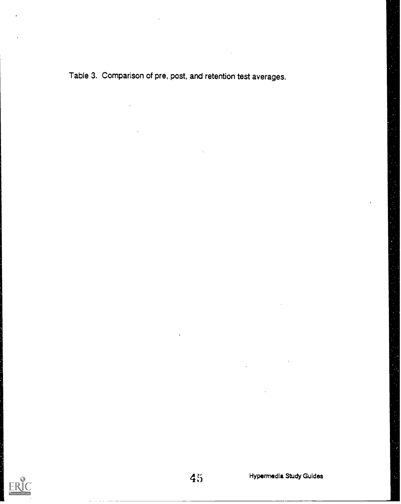Table 3. Comparison of pre, post, and retention test averages.

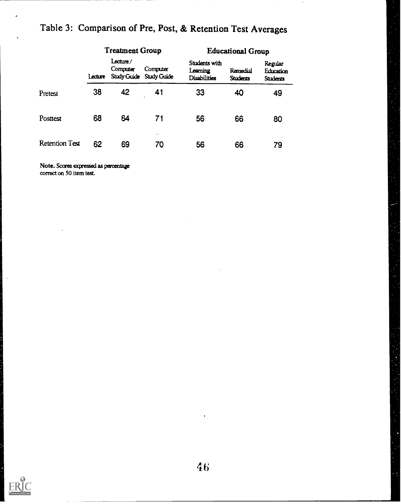|                       |         | <b>Treatment Group</b> |                                     | <b>Educational Group</b>                         |                             |                                         |
|-----------------------|---------|------------------------|-------------------------------------|--------------------------------------------------|-----------------------------|-----------------------------------------|
|                       | Lecture | Lecture/<br>Computer   | Computer<br>Study Guide Study Guide | Students with<br>Learning<br><b>Disabilities</b> | Remedial<br><b>Students</b> | Regular<br>Education<br><b>Students</b> |
| Pretest               | 38      | 42                     | 41                                  | 33                                               | 40                          | 49                                      |
| Posttest              | 68      | 64                     | 71                                  | 56                                               | 66                          | 80                                      |
| <b>Retention Test</b> | 62      | 69                     | 70                                  | 56                                               | 66                          | 79                                      |

## Table 3: Comparison of Pre, Post, & Retention Test Averages

Note. Scores expressed as percentage correct on 50 item test.



l,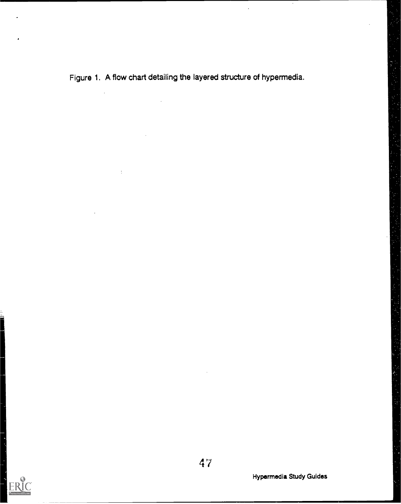Figure 1. A flow chart detailing the layered structure of hypermedia.

 $\overline{1}$ 

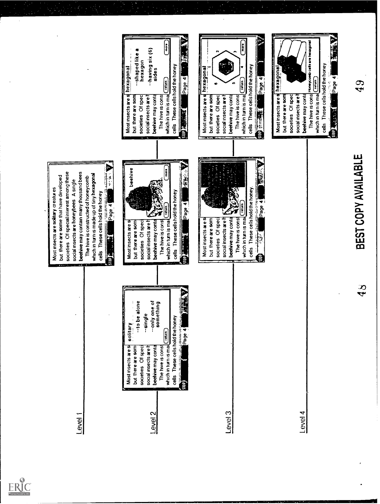

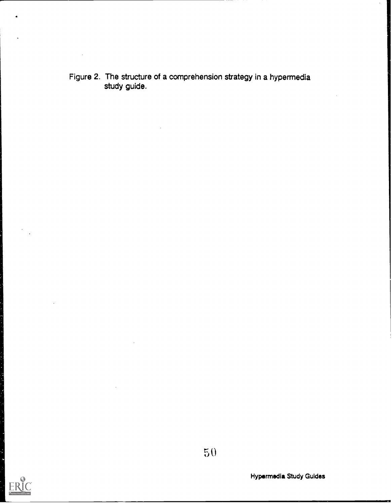Figure 2. The structure of a comprehension strategy in a hypermedia study guide.

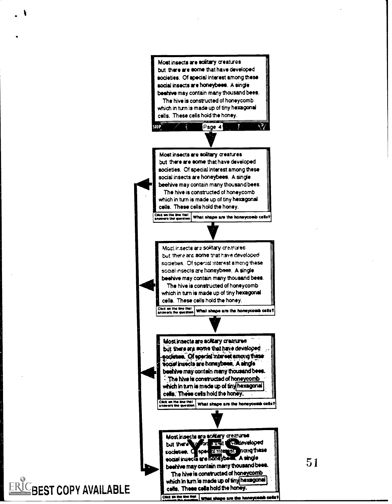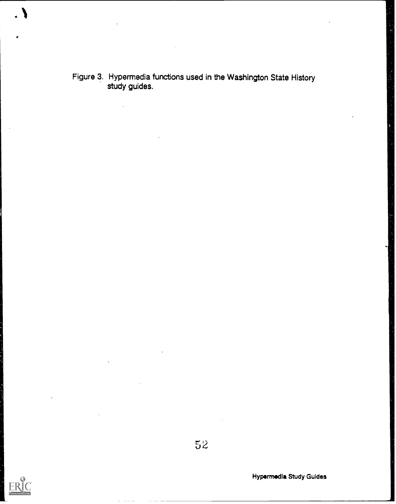Figure 3. Hypermedia functions used in the Washington State History study guides.



 $52$